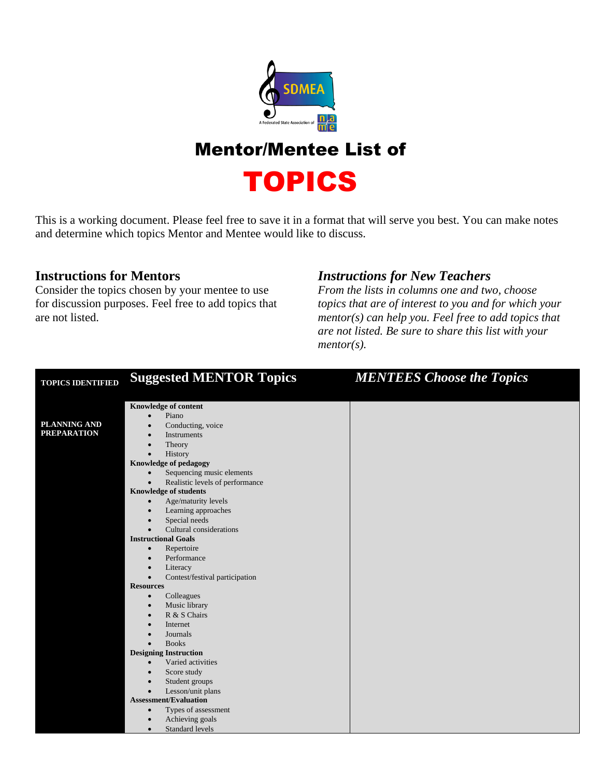

## Mentor/Mentee List of

TOPICS

This is a working document. Please feel free to save it in a format that will serve you best. You can make notes and determine which topics Mentor and Mentee would like to discuss.

## **Instructions for Mentors**

Consider the topics chosen by your mentee to use for discussion purposes. Feel free to add topics that are not listed.

## *Instructions for New Teachers*

*From the lists in columns one and two, choose topics that are of interest to you and for which your mentor(s) can help you. Feel free to add topics that are not listed. Be sure to share this list with your mentor(s).*

| <b>TOPICS IDENTIFIED</b> | <b>Suggested MENTOR Topics</b>   | <b>MENTEES Choose the Topics</b> |
|--------------------------|----------------------------------|----------------------------------|
|                          |                                  |                                  |
|                          | <b>Knowledge of content</b>      |                                  |
|                          | Piano                            |                                  |
| PLANNING AND             | Conducting, voice                |                                  |
| <b>PREPARATION</b>       | Instruments                      |                                  |
|                          | Theory                           |                                  |
|                          | History                          |                                  |
|                          | <b>Knowledge of pedagogy</b>     |                                  |
|                          | Sequencing music elements        |                                  |
|                          | Realistic levels of performance  |                                  |
|                          | <b>Knowledge of students</b>     |                                  |
|                          | Age/maturity levels<br>$\bullet$ |                                  |
|                          | Learning approaches              |                                  |
|                          | Special needs                    |                                  |
|                          | Cultural considerations          |                                  |
|                          | <b>Instructional Goals</b>       |                                  |
|                          | Repertoire<br>$\bullet$          |                                  |
|                          | Performance                      |                                  |
|                          | Literacy                         |                                  |
|                          | Contest/festival participation   |                                  |
|                          | <b>Resources</b>                 |                                  |
|                          | Colleagues<br>$\bullet$          |                                  |
|                          | Music library<br>$\bullet$       |                                  |
|                          | R & S Chairs                     |                                  |
|                          | Internet                         |                                  |
|                          | Journals                         |                                  |
|                          | <b>Books</b>                     |                                  |
|                          | <b>Designing Instruction</b>     |                                  |
|                          | Varied activities<br>$\bullet$   |                                  |
|                          | Score study                      |                                  |
|                          | Student groups                   |                                  |
|                          | Lesson/unit plans                |                                  |
|                          | <b>Assessment/Evaluation</b>     |                                  |
|                          | Types of assessment<br>$\bullet$ |                                  |
|                          | Achieving goals                  |                                  |
|                          | Standard levels                  |                                  |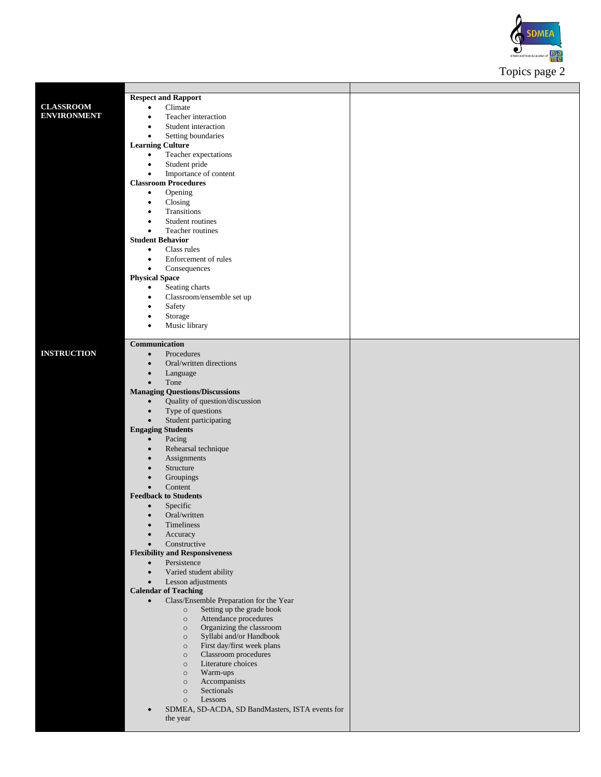

|                    | <b>Respect and Rapport</b>                                   |  |
|--------------------|--------------------------------------------------------------|--|
| <b>CLASSROOM</b>   | Climate<br>$\bullet$                                         |  |
| <b>ENVIRONMENT</b> |                                                              |  |
|                    | Teacher interaction<br>$\bullet$                             |  |
|                    | Student interaction<br>٠                                     |  |
|                    | Setting boundaries<br>$\bullet$                              |  |
|                    | <b>Learning Culture</b>                                      |  |
|                    |                                                              |  |
|                    | Teacher expectations<br>$\bullet$                            |  |
|                    | Student pride<br>$\bullet$                                   |  |
|                    | Importance of content<br>$\bullet$                           |  |
|                    | <b>Classroom Procedures</b>                                  |  |
|                    |                                                              |  |
|                    | Opening<br>$\bullet$                                         |  |
|                    | Closing<br>$\bullet$                                         |  |
|                    | Transitions<br>٠                                             |  |
|                    | Student routines<br>$\bullet$                                |  |
|                    |                                                              |  |
|                    | Teacher routines<br>٠                                        |  |
|                    | <b>Student Behavior</b>                                      |  |
|                    | Class rules<br>$\bullet$                                     |  |
|                    | Enforcement of rules<br>٠                                    |  |
|                    | Consequences<br>$\bullet$                                    |  |
|                    |                                                              |  |
|                    | <b>Physical Space</b>                                        |  |
|                    | Seating charts<br>$\bullet$                                  |  |
|                    | Classroom/ensemble set up<br>$\bullet$                       |  |
|                    | Safety<br>$\bullet$                                          |  |
|                    |                                                              |  |
|                    | Storage<br>$\bullet$                                         |  |
|                    | Music library<br>$\bullet$                                   |  |
|                    |                                                              |  |
|                    | Communication                                                |  |
| <b>INSTRUCTION</b> |                                                              |  |
|                    | Procedures<br>$\bullet$                                      |  |
|                    | Oral/written directions<br>$\bullet$                         |  |
|                    | Language<br>$\bullet$                                        |  |
|                    | Tone<br>$\bullet$                                            |  |
|                    | <b>Managing Questions/Discussions</b>                        |  |
|                    |                                                              |  |
|                    | Quality of question/discussion<br>$\bullet$                  |  |
|                    | Type of questions<br>$\bullet$                               |  |
|                    | Student participating<br>$\bullet$                           |  |
|                    | <b>Engaging Students</b>                                     |  |
|                    |                                                              |  |
|                    | Pacing<br>$\bullet$                                          |  |
|                    | Rehearsal technique<br>$\bullet$                             |  |
|                    | Assignments<br>$\bullet$                                     |  |
|                    | Structure                                                    |  |
|                    |                                                              |  |
|                    | Groupings<br>$\bullet$                                       |  |
|                    | Content<br>$\bullet$                                         |  |
|                    | <b>Feedback to Students</b>                                  |  |
|                    | Specific<br>$\bullet$                                        |  |
|                    | Oral/written<br>$\bullet$                                    |  |
|                    |                                                              |  |
|                    | Timeliness<br>$\bullet$                                      |  |
|                    | Accuracy<br>$\bullet$                                        |  |
|                    | Constructive<br>$\bullet$                                    |  |
|                    | <b>Flexibility and Responsiveness</b>                        |  |
|                    | Persistence<br>$\bullet$                                     |  |
|                    |                                                              |  |
|                    | Varied student ability<br>$\bullet$                          |  |
|                    | Lesson adjustments<br>$\bullet$                              |  |
|                    | <b>Calendar of Teaching</b>                                  |  |
|                    | Class/Ensemble Preparation for the Year<br>$\bullet$         |  |
|                    | Setting up the grade book<br>$\circ$                         |  |
|                    |                                                              |  |
|                    | Attendance procedures<br>$\circ$                             |  |
|                    | Organizing the classroom<br>$\circ$                          |  |
|                    | Syllabi and/or Handbook<br>$\circ$                           |  |
|                    | First day/first week plans<br>$\circ$                        |  |
|                    | Classroom procedures<br>$\circ$                              |  |
|                    | Literature choices                                           |  |
|                    | $\circ$                                                      |  |
|                    | Warm-ups<br>$\circ$                                          |  |
|                    | Accompanists<br>$\circ$                                      |  |
|                    | Sectionals<br>$\circ$                                        |  |
|                    | Lessons<br>$\circ$                                           |  |
|                    | SDMEA, SD-ACDA, SD BandMasters, ISTA events for<br>$\bullet$ |  |
|                    | the year                                                     |  |
|                    |                                                              |  |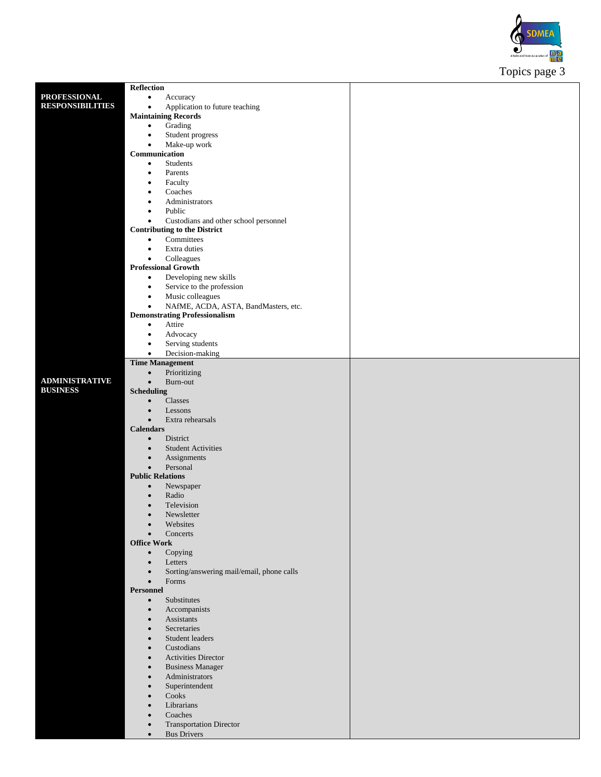

|                         |                                                        | $\mathbf{r}$<br>$\mathbf{r}$<br>ັ |  |
|-------------------------|--------------------------------------------------------|-----------------------------------|--|
|                         | <b>Reflection</b>                                      |                                   |  |
| <b>PROFESSIONAL</b>     | Accuracy<br>$\bullet$                                  |                                   |  |
| <b>RESPONSIBILITIES</b> | Application to future teaching<br>$\bullet$            |                                   |  |
|                         |                                                        |                                   |  |
|                         | <b>Maintaining Records</b>                             |                                   |  |
|                         | Grading<br>$\bullet$                                   |                                   |  |
|                         | Student progress<br>$\bullet$                          |                                   |  |
|                         | Make-up work<br>$\bullet$                              |                                   |  |
|                         | Communication                                          |                                   |  |
|                         | Students<br>$\bullet$                                  |                                   |  |
|                         | Parents<br>$\bullet$                                   |                                   |  |
|                         | Faculty<br>٠                                           |                                   |  |
|                         |                                                        |                                   |  |
|                         | Coaches<br>$\bullet$                                   |                                   |  |
|                         | Administrators<br>٠                                    |                                   |  |
|                         | Public<br>$\bullet$                                    |                                   |  |
|                         | Custodians and other school personnel<br>$\bullet$     |                                   |  |
|                         | <b>Contributing to the District</b>                    |                                   |  |
|                         | Committees<br>$\bullet$                                |                                   |  |
|                         | Extra duties<br>$\bullet$                              |                                   |  |
|                         | Colleagues<br>$\bullet$                                |                                   |  |
|                         | <b>Professional Growth</b>                             |                                   |  |
|                         | Developing new skills<br>$\bullet$                     |                                   |  |
|                         |                                                        |                                   |  |
|                         | Service to the profession<br>$\bullet$                 |                                   |  |
|                         | Music colleagues<br>$\bullet$                          |                                   |  |
|                         | NAfME, ACDA, ASTA, BandMasters, etc.<br>$\bullet$      |                                   |  |
|                         | <b>Demonstrating Professionalism</b>                   |                                   |  |
|                         | Attire<br>$\bullet$                                    |                                   |  |
|                         | Advocacy<br>$\bullet$                                  |                                   |  |
|                         | Serving students<br>$\bullet$                          |                                   |  |
|                         | Decision-making<br>$\bullet$                           |                                   |  |
|                         | <b>Time Management</b>                                 |                                   |  |
|                         |                                                        |                                   |  |
|                         | Prioritizing<br>$\bullet$                              |                                   |  |
| <b>ADMINISTRATIVE</b>   | Burn-out<br>$\bullet$                                  |                                   |  |
| <b>BUSINESS</b>         | <b>Scheduling</b>                                      |                                   |  |
|                         | Classes<br>$\bullet$                                   |                                   |  |
|                         | Lessons<br>$\bullet$                                   |                                   |  |
|                         | Extra rehearsals<br>$\bullet$                          |                                   |  |
|                         | <b>Calendars</b>                                       |                                   |  |
|                         | District<br>$\bullet$                                  |                                   |  |
|                         | <b>Student Activities</b><br>$\bullet$                 |                                   |  |
|                         | $\bullet$                                              |                                   |  |
|                         | Assignments                                            |                                   |  |
|                         | Personal<br>$\bullet$                                  |                                   |  |
|                         | <b>Public Relations</b>                                |                                   |  |
|                         | Newspaper<br>$\bullet$                                 |                                   |  |
|                         | Radio<br>$\bullet$                                     |                                   |  |
|                         | Television                                             |                                   |  |
|                         | Newsletter                                             |                                   |  |
|                         | Websites<br>$\bullet$                                  |                                   |  |
|                         | Concerts<br>$\bullet$                                  |                                   |  |
|                         | <b>Office Work</b>                                     |                                   |  |
|                         | $\bullet$<br>Copying                                   |                                   |  |
|                         | Letters<br>$\bullet$                                   |                                   |  |
|                         | Sorting/answering mail/email, phone calls<br>$\bullet$ |                                   |  |
|                         |                                                        |                                   |  |
|                         | Forms<br>$\bullet$                                     |                                   |  |
|                         | Personnel                                              |                                   |  |
|                         | Substitutes<br>$\bullet$                               |                                   |  |
|                         | Accompanists<br>$\bullet$                              |                                   |  |
|                         | Assistants<br>$\bullet$                                |                                   |  |
|                         | Secretaries<br>$\bullet$                               |                                   |  |
|                         | Student leaders<br>$\bullet$                           |                                   |  |
|                         | Custodians<br>$\bullet$                                |                                   |  |
|                         | <b>Activities Director</b><br>$\bullet$                |                                   |  |
|                         | <b>Business Manager</b><br>$\bullet$                   |                                   |  |
|                         | Administrators<br>$\bullet$                            |                                   |  |
|                         |                                                        |                                   |  |
|                         | Superintendent<br>$\bullet$                            |                                   |  |
|                         | Cooks<br>$\bullet$                                     |                                   |  |
|                         | Librarians<br>$\bullet$                                |                                   |  |
|                         | Coaches<br>$\bullet$                                   |                                   |  |
|                         | <b>Transportation Director</b><br>$\bullet$            |                                   |  |
|                         | <b>Bus Drivers</b><br>$\bullet$                        |                                   |  |